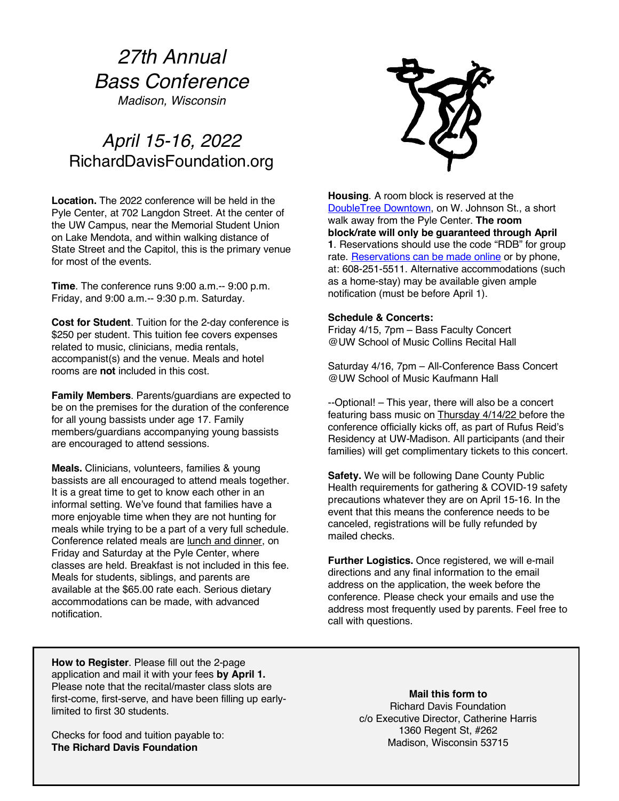# *27th Annual Bass Conference*

*Madison, Wisconsin*

### *April 15-16, 2022* RichardDavisFoundation.org

**Location.** The 2022 conference will be held in the Pyle Center, at 702 Langdon Street. At the center of the UW Campus, near the Memorial Student Union on Lake Mendota, and within walking distance of State Street and the Capitol, this is the primary venue for most of the events.

**Time**. The conference runs 9:00 a.m.-- 9:00 p.m. Friday, and 9:00 a.m.-- 9:30 p.m. Saturday.

**Cost for Student**. Tuition for the 2-day conference is \$250 per student. This tuition fee covers expenses related to music, clinicians, media rentals, accompanist(s) and the venue. Meals and hotel rooms are **not** included in this cost.

**Family Members**. Parents/guardians are expected to be on the premises for the duration of the conference for all young bassists under age 17. Family members/guardians accompanying young bassists are encouraged to attend sessions.

**Meals.** Clinicians, volunteers, families & young bassists are all encouraged to attend meals together. It is a great time to get to know each other in an informal setting. We've found that families have a more enjoyable time when they are not hunting for meals while trying to be a part of a very full schedule. Conference related meals are lunch and dinner, on Friday and Saturday at the Pyle Center, where classes are held. Breakfast is not included in this fee. Meals for students, siblings, and parents are available at the \$65.00 rate each. Serious dietary accommodations can be made, with advanced notification.



**Housing**. A room block is reserved at the DoubleTree Downtown, on W. Johnson St., a short walk away from the Pyle Center. **The room block/rate will only be guaranteed through April 1**. Reservations should use the code "RDB" for group rate. Reservations can be made online or by phone, at: 608-251-5511. Alternative accommodations (such as a home-stay) may be available given ample notification (must be before April 1).

#### **Schedule & Concerts:**

Friday 4/15, 7pm – Bass Faculty Concert @UW School of Music Collins Recital Hall

Saturday 4/16, 7pm – All-Conference Bass Concert @UW School of Music Kaufmann Hall

--Optional! – This year, there will also be a concert featuring bass music on Thursday 4/14/22 before the conference officially kicks off, as part of Rufus Reid's Residency at UW-Madison. All participants (and their families) will get complimentary tickets to this concert.

**Safety.** We will be following Dane County Public Health requirements for gathering & COVID-19 safety precautions whatever they are on April 15-16. In the event that this means the conference needs to be canceled, registrations will be fully refunded by mailed checks.

**Further Logistics.** Once registered, we will e-mail directions and any final information to the email address on the application, the week before the conference. Please check your emails and use the address most frequently used by parents. Feel free to call with questions.

**How to Register**. Please fill out the 2-page application and mail it with your fees **by April 1.**  Please note that the recital/master class slots are first-come, first-serve, and have been filling up earlylimited to first 30 students.

Checks for food and tuition payable to: **The Richard Davis Foundation**

**Mail this form to**  Richard Davis Foundation c/o Executive Director, Catherine Harris 1360 Regent St, #262 Madison, Wisconsin 53715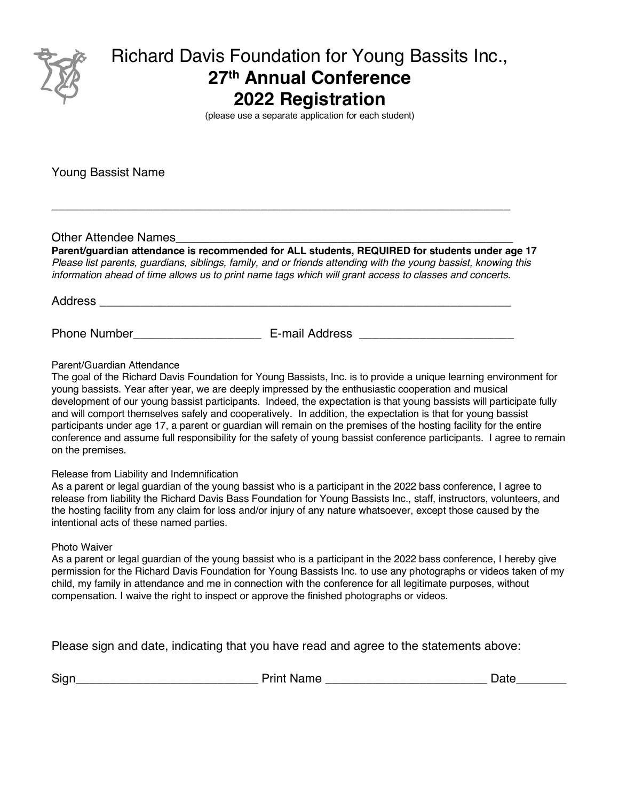

## Richard Davis Foundation for Young Bassits Inc., **27th Annual Conference 2022 Registration**

(please use a separate application for each student)

Young Bassist Name

### Other Attendee Names

**Parent/guardian attendance is recommended for ALL students, REQUIRED for students under age 17** *Please list parents, guardians, siblings, family, and or friends attending with the young bassist, knowing this information ahead of time allows us to print name tags which will grant access to classes and concerts.* 

\_\_\_\_\_\_\_\_\_\_\_\_\_\_\_\_\_\_\_\_\_\_\_\_\_\_\_\_\_\_\_\_\_\_\_\_\_\_\_\_\_\_\_\_\_\_\_\_\_\_\_\_\_\_\_\_\_\_\_\_\_\_\_\_\_\_\_\_

Address \_\_\_\_\_\_\_\_\_\_\_\_\_\_\_\_\_\_\_\_\_\_\_\_\_\_\_\_\_\_\_\_\_\_\_\_\_\_\_\_\_\_\_\_\_\_\_\_\_\_\_\_\_\_\_\_\_\_\_\_\_

Phone Number\_\_\_\_\_\_\_\_\_\_\_\_\_\_\_\_\_\_\_ E-mail Address \_\_\_\_\_\_\_\_\_\_\_\_\_\_\_\_\_\_\_\_\_\_\_

Parent/Guardian Attendance

The goal of the Richard Davis Foundation for Young Bassists, Inc. is to provide a unique learning environment for young bassists. Year after year, we are deeply impressed by the enthusiastic cooperation and musical development of our young bassist participants. Indeed, the expectation is that young bassists will participate fully and will comport themselves safely and cooperatively. In addition, the expectation is that for young bassist participants under age 17, a parent or guardian will remain on the premises of the hosting facility for the entire conference and assume full responsibility for the safety of young bassist conference participants. I agree to remain on the premises.

Release from Liability and Indemnification

As a parent or legal guardian of the young bassist who is a participant in the 2022 bass conference, I agree to release from liability the Richard Davis Bass Foundation for Young Bassists Inc., staff, instructors, volunteers, and the hosting facility from any claim for loss and/or injury of any nature whatsoever, except those caused by the intentional acts of these named parties.

### Photo Waiver

As a parent or legal guardian of the young bassist who is a participant in the 2022 bass conference, I hereby give permission for the Richard Davis Foundation for Young Bassists Inc. to use any photographs or videos taken of my child, my family in attendance and me in connection with the conference for all legitimate purposes, without compensation. I waive the right to inspect or approve the finished photographs or videos.

Please sign and date, indicating that you have read and agree to the statements above:

| $\sim$<br>Sign | .<br>.<br>w.<br>16 | --<br>--- |
|----------------|--------------------|-----------|
|                |                    |           |